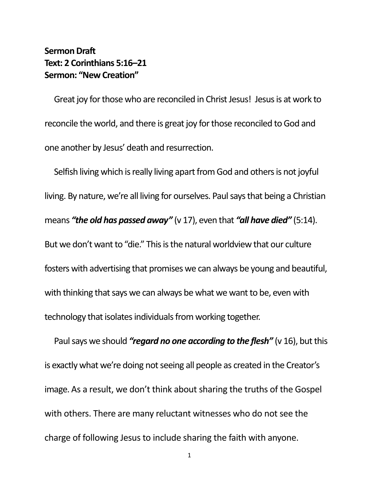## **Sermon Draft Text: 2 Corinthians 5:16–21 Sermon: "New Creation"**

Great joy for those who are reconciled in Christ Jesus! Jesus is at work to reconcile the world, and there is great joy for those reconciled to God and one another by Jesus' death and resurrection.

Selfish living which is really living apart from God and others is not joyful living. By nature, we're all living for ourselves. Paul says that being a Christian means *"the old has passed away"* (v 17), even that *"all have died"* (5:14). But we don't want to "die." This is the natural worldview that our culture fosters with advertising that promises we can always be young and beautiful, with thinking that says we can always be what we want to be, even with technology that isolates individuals from working together.

Paul says we should *"regard no one according to the flesh"* (v 16), but this is exactly what we're doing not seeing all people as created in the Creator's image. As a result, we don't think about sharing the truths of the Gospel with others. There are many reluctant witnesses who do not see the charge of following Jesus to include sharing the faith with anyone.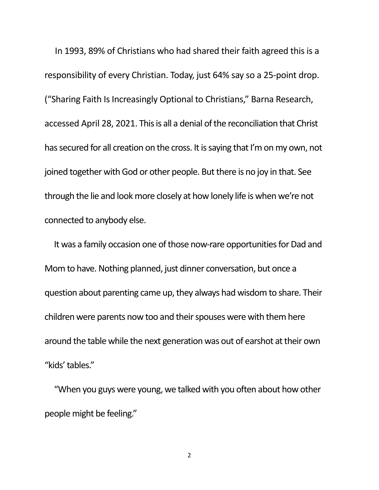In 1993, 89% of Christians who had shared their faith agreed this is a responsibility of every Christian. Today, just 64% say so a 25-point drop. ("Sharing Faith Is Increasingly Optional to Christians," Barna Research, accessed April 28, 2021. This is all a denial of the reconciliation that Christ has secured for all creation on the cross. It is saying that I'm on my own, not joined together with God or other people. But there is no joy in that. See through the lie and look more closely at how lonely life is when we're not connected to anybody else.

 It was a family occasion one of those now-rare opportunities for Dad and Mom to have. Nothing planned, just dinner conversation, but once a question about parenting came up, they always had wisdom to share. Their children were parents now too and their spouses were with them here around the table while the next generation was out of earshot at their own "kids' tables."

 "When you guys were young, we talked with you often about how other people might be feeling."

2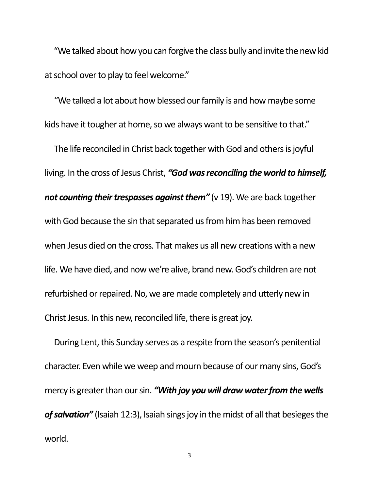"We talked about how you can forgive the class bully and invite the new kid at school over to play to feel welcome."

 "We talked a lot about how blessed our family is and how maybe some kids have it tougher at home, so we always want to be sensitive to that."

The life reconciled in Christ back together with God and others is joyful living. In the cross of Jesus Christ, *"God was reconciling the world to himself, not counting their trespasses against them"* (v 19). We are back together with God because the sin that separated us from him has been removed when Jesus died on the cross. That makes us all new creations with a new life. We have died, and now we're alive, brand new. God's children are not refurbished or repaired. No, we are made completely and utterly new in Christ Jesus. In this new, reconciled life, there is great joy.

During Lent, this Sunday serves as a respite from the season's penitential character. Even while we weep and mourn because of our many sins, God's mercy is greater than our sin. *"With joy you will draw water from the wells*  of salvation" (Isaiah 12:3), Isaiah sings joy in the midst of all that besieges the world.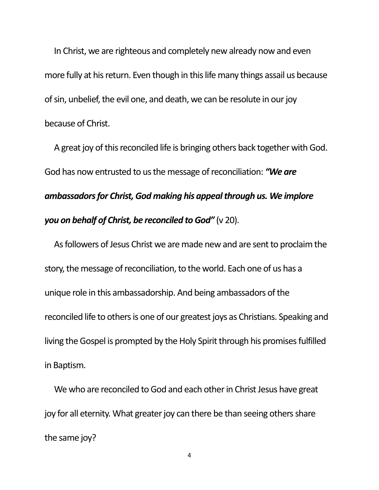In Christ, we are righteous and completely new already now and even more fully at his return. Even though in this life many things assail us because of sin, unbelief, the evil one, and death, we can be resolute in our joy because of Christ.

A great joy of this reconciled life is bringing others back together with God. God has now entrusted to us the message of reconciliation: *"We are ambassadors for Christ, God making his appeal through us. We implore you on behalf of Christ, be reconciled to God"* (v 20).

As followers of Jesus Christ we are made new and are sent to proclaim the story, the message of reconciliation, to the world. Each one of us has a unique role in this ambassadorship. And being ambassadors of the reconciled life to others is one of our greatest joys as Christians. Speaking and living the Gospel is prompted by the Holy Spirit through his promises fulfilled in Baptism.

We who are reconciled to God and each other in Christ Jesus have great joy for all eternity. What greater joy can there be than seeing others share the same joy?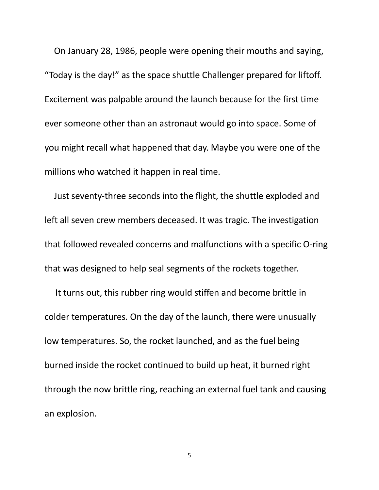On January 28, 1986, people were opening their mouths and saying, "Today is the day!" as the space shuttle Challenger prepared for liftoff. Excitement was palpable around the launch because for the first time ever someone other than an astronaut would go into space. Some of you might recall what happened that day. Maybe you were one of the millions who watched it happen in real time.

 Just seventy-three seconds into the flight, the shuttle exploded and left all seven crew members deceased. It was tragic. The investigation that followed revealed concerns and malfunctions with a specific O-ring that was designed to help seal segments of the rockets together.

 It turns out, this rubber ring would stiffen and become brittle in colder temperatures. On the day of the launch, there were unusually low temperatures. So, the rocket launched, and as the fuel being burned inside the rocket continued to build up heat, it burned right through the now brittle ring, reaching an external fuel tank and causing an explosion.